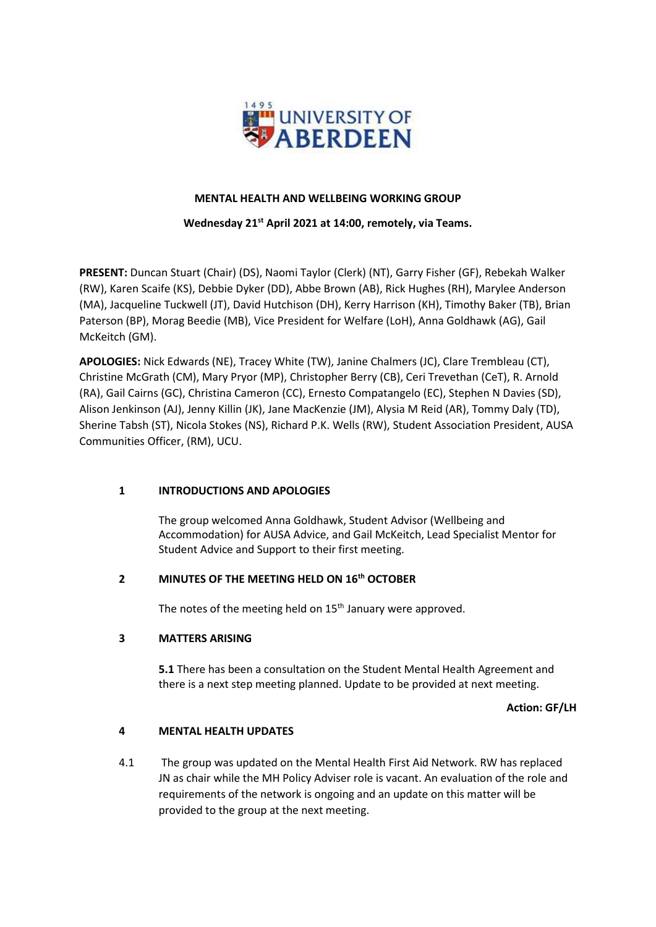

# **MENTAL HEALTH AND WELLBEING WORKING GROUP**

### **Wednesday 21st April 2021 at 14:00, remotely, via Teams.**

**PRESENT:** Duncan Stuart (Chair) (DS), Naomi Taylor (Clerk) (NT), Garry Fisher (GF), Rebekah Walker (RW), Karen Scaife (KS), Debbie Dyker (DD), Abbe Brown (AB), Rick Hughes (RH), Marylee Anderson (MA), Jacqueline Tuckwell (JT), David Hutchison (DH), Kerry Harrison (KH), Timothy Baker (TB), Brian Paterson (BP), Morag Beedie (MB), Vice President for Welfare (LoH), Anna Goldhawk (AG), Gail McKeitch (GM).

**APOLOGIES:** Nick Edwards (NE), Tracey White (TW), Janine Chalmers (JC), Clare Trembleau (CT), Christine McGrath (CM), Mary Pryor (MP), Christopher Berry (CB), Ceri Trevethan (CeT), R. Arnold (RA), Gail Cairns (GC), Christina Cameron (CC), Ernesto Compatangelo (EC), Stephen N Davies (SD), Alison Jenkinson (AJ), Jenny Killin (JK), Jane MacKenzie (JM), Alysia M Reid (AR), Tommy Daly (TD), Sherine Tabsh (ST), Nicola Stokes (NS), Richard P.K. Wells (RW), Student Association President, AUSA Communities Officer, (RM), UCU.

# **1 INTRODUCTIONS AND APOLOGIES**

The group welcomed Anna Goldhawk, Student Advisor (Wellbeing and Accommodation) for AUSA Advice, and Gail McKeitch, Lead Specialist Mentor for Student Advice and Support to their first meeting.

## **2 MINUTES OF THE MEETING HELD ON 16th OCTOBER**

The notes of the meeting held on  $15<sup>th</sup>$  January were approved.

#### **3 MATTERS ARISING**

**5.1** There has been a consultation on the Student Mental Health Agreement and there is a next step meeting planned. Update to be provided at next meeting.

**Action: GF/LH**

#### **4 MENTAL HEALTH UPDATES**

4.1 The group was updated on the Mental Health First Aid Network. RW has replaced JN as chair while the MH Policy Adviser role is vacant. An evaluation of the role and requirements of the network is ongoing and an update on this matter will be provided to the group at the next meeting.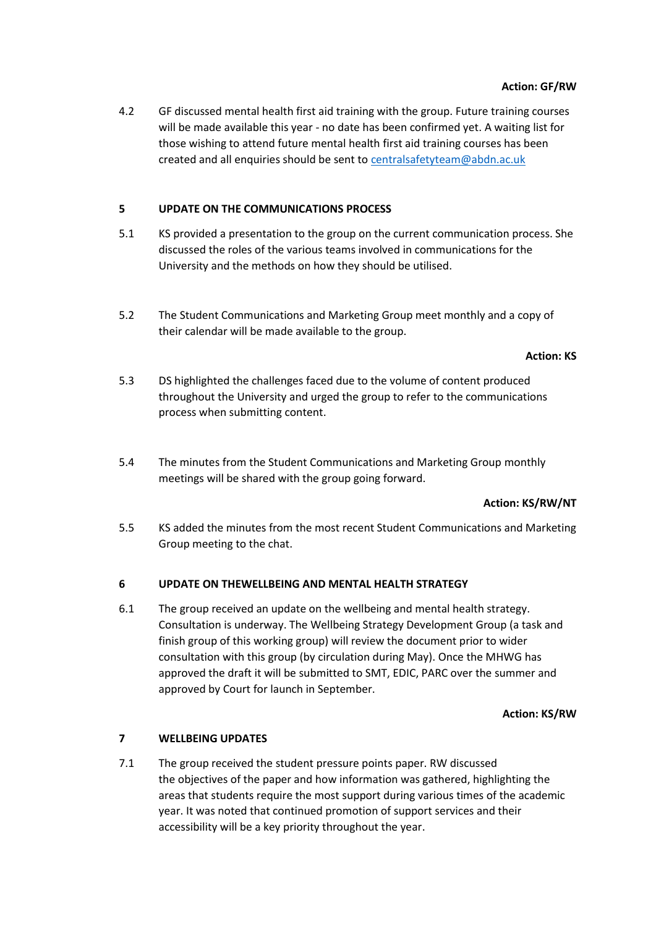4.2 GF discussed mental health first aid training with the group. Future training courses will be made available this year - no date has been confirmed yet. A waiting list for those wishing to attend future mental health first aid training courses has been created and all enquiries should be sent t[o centralsafetyteam@abdn.ac.uk](mailto:centralsafetyteam@abdn.ac.uk)

## **5 UPDATE ON THE COMMUNICATIONS PROCESS**

- 5.1 KS provided a presentation to the group on the current communication process. She discussed the roles of the various teams involved in communications for the University and the methods on how they should be utilised.
- 5.2 The Student Communications and Marketing Group meet monthly and a copy of their calendar will be made available to the group.

#### **Action: KS**

- 5.3 DS highlighted the challenges faced due to the volume of content produced throughout the University and urged the group to refer to the communications process when submitting content.
- 5.4 The minutes from the Student Communications and Marketing Group monthly meetings will be shared with the group going forward.

#### **Action: KS/RW/NT**

5.5 KS added the minutes from the most recent Student Communications and Marketing Group meeting to the chat.

#### **6 UPDATE ON THEWELLBEING AND MENTAL HEALTH STRATEGY**

6.1 The group received an update on the wellbeing and mental health strategy. Consultation is underway. The Wellbeing Strategy Development Group (a task and finish group of this working group) will review the document prior to wider consultation with this group (by circulation during May). Once the MHWG has approved the draft it will be submitted to SMT, EDIC, PARC over the summer and approved by Court for launch in September.

#### **Action: KS/RW**

#### **7 WELLBEING UPDATES**

7.1 The group received the student pressure points paper. RW discussed the objectives of the paper and how information was gathered, highlighting the areas that students require the most support during various times of the academic year. It was noted that continued promotion of support services and their accessibility will be a key priority throughout the year.